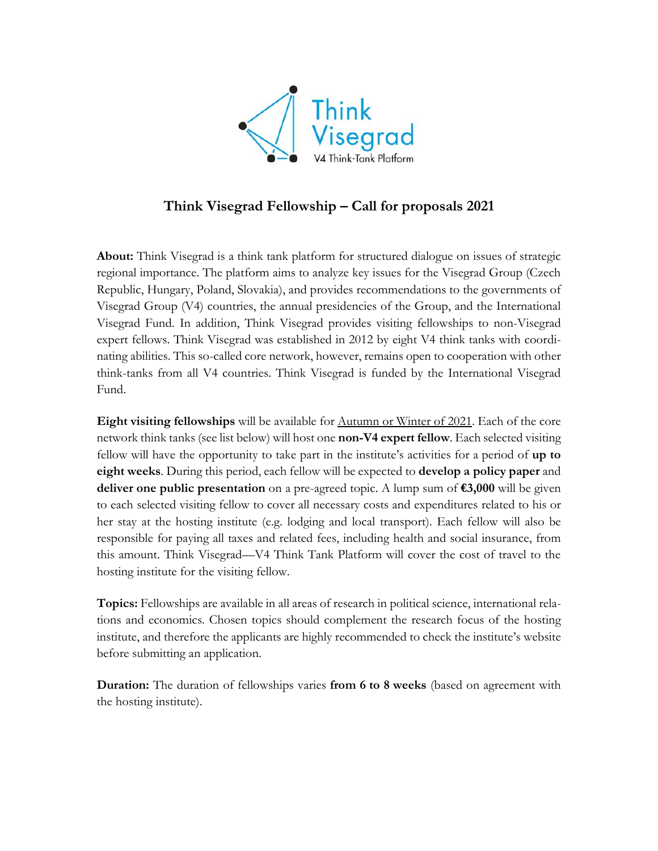

## **Think Visegrad Fellowship – Call for proposals 2021**

**About:** Think Visegrad is a think tank platform for structured dialogue on issues of strategic regional importance. The platform aims to analyze key issues for the Visegrad Group (Czech Republic, Hungary, Poland, Slovakia), and provides recommendations to the governments of Visegrad Group (V4) countries, the annual presidencies of the Group, and the International Visegrad Fund. In addition, Think Visegrad provides visiting fellowships to non-Visegrad expert fellows. Think Visegrad was established in 2012 by eight V4 think tanks with coordinating abilities. This so-called core network, however, remains open to cooperation with other think-tanks from all V4 countries. Think Visegrad is funded by the International Visegrad Fund.

**Eight visiting fellowships** will be available for Autumn or Winter of 2021. Each of the core network think tanks (see list below) will host one **non-V4 expert fellow**. Each selected visiting fellow will have the opportunity to take part in the institute's activities for a period of **up to eight weeks**. During this period, each fellow will be expected to **develop a policy paper** and **deliver one public presentation** on a pre-agreed topic. A lump sum of **€3,000** will be given to each selected visiting fellow to cover all necessary costs and expenditures related to his or her stay at the hosting institute (e.g. lodging and local transport). Each fellow will also be responsible for paying all taxes and related fees, including health and social insurance, from this amount. Think Visegrad*—*V4 Think Tank Platform will cover the cost of travel to the hosting institute for the visiting fellow.

**Topics:** Fellowships are available in all areas of research in political science, international relations and economics. Chosen topics should complement the research focus of the hosting institute, and therefore the applicants are highly recommended to check the institute's website before submitting an application.

**Duration:** The duration of fellowships varies **from 6 to 8 weeks** (based on agreement with the hosting institute).